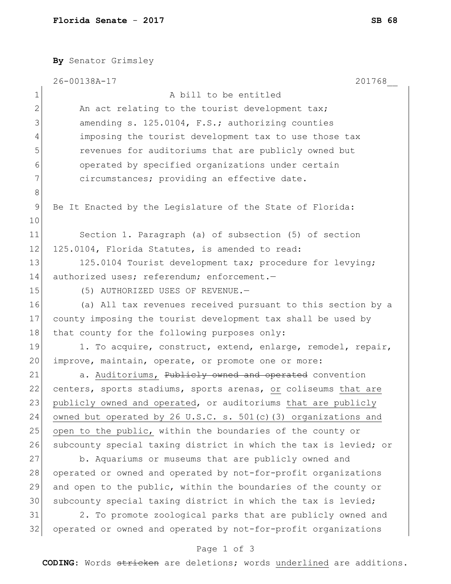**By** Senator Grimsley 26-00138A-17 201768\_\_ 1 A bill to be entitled  $2$  An act relating to the tourist development tax; 3 amending s. 125.0104, F.S.; authorizing counties 4 imposing the tourist development tax to use those tax 5 5 5 revenues for auditoriums that are publicly owned but 6 operated by specified organizations under certain 7 circumstances; providing an effective date. 8 9 Be It Enacted by the Legislature of the State of Florida: 10 11 Section 1. Paragraph (a) of subsection (5) of section 12 125.0104, Florida Statutes, is amended to read: 13 125.0104 Tourist development tax; procedure for levying; 14 authorized uses; referendum; enforcement.-15 (5) AUTHORIZED USES OF REVENUE. 16 (a) All tax revenues received pursuant to this section by a 17 county imposing the tourist development tax shall be used by 18 that county for the following purposes only: 19 1. To acquire, construct, extend, enlarge, remodel, repair, 20 improve, maintain, operate, or promote one or more: 21 a. Auditoriums, Publicly owned and operated convention 22 centers, sports stadiums, sports arenas, or coliseums that are 23 publicly owned and operated, or auditoriums that are publicly 24 owned but operated by 26 U.S.C. s.  $501(c)$  (3) organizations and 25 open to the public, within the boundaries of the county or 26 subcounty special taxing district in which the tax is levied; or 27 b. Aquariums or museums that are publicly owned and 28 operated or owned and operated by not-for-profit organizations 29 and open to the public, within the boundaries of the county or 30 subcounty special taxing district in which the tax is levied; 31 2. To promote zoological parks that are publicly owned and 32 operated or owned and operated by not-for-profit organizations

## Page 1 of 3

**CODING**: Words stricken are deletions; words underlined are additions.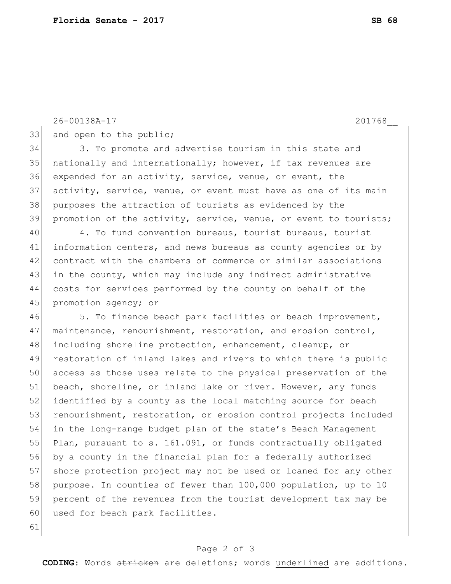```
26-00138A-17 201768__
```
33 and open to the public;

34 3. To promote and advertise tourism in this state and 35 nationally and internationally; however, if tax revenues are 36 expended for an activity, service, venue, or event, the 37 activity, service, venue, or event must have as one of its main 38 purposes the attraction of tourists as evidenced by the 39 promotion of the activity, service, venue, or event to tourists;

 4. To fund convention bureaus, tourist bureaus, tourist information centers, and news bureaus as county agencies or by contract with the chambers of commerce or similar associations 43 in the county, which may include any indirect administrative costs for services performed by the county on behalf of the 45 promotion agency; or

46 5. To finance beach park facilities or beach improvement, 47 maintenance, renourishment, restoration, and erosion control, 48 including shoreline protection, enhancement, cleanup, or 49 restoration of inland lakes and rivers to which there is public 50 access as those uses relate to the physical preservation of the 51 beach, shoreline, or inland lake or river. However, any funds 52 identified by a county as the local matching source for beach 53 renourishment, restoration, or erosion control projects included 54 in the long-range budget plan of the state's Beach Management 55 Plan, pursuant to s. 161.091, or funds contractually obligated 56 by a county in the financial plan for a federally authorized 57 shore protection project may not be used or loaned for any other 58 purpose. In counties of fewer than 100,000 population, up to 10 59 percent of the revenues from the tourist development tax may be 60 used for beach park facilities.

## 61

## Page 2 of 3

**CODING**: Words stricken are deletions; words underlined are additions.